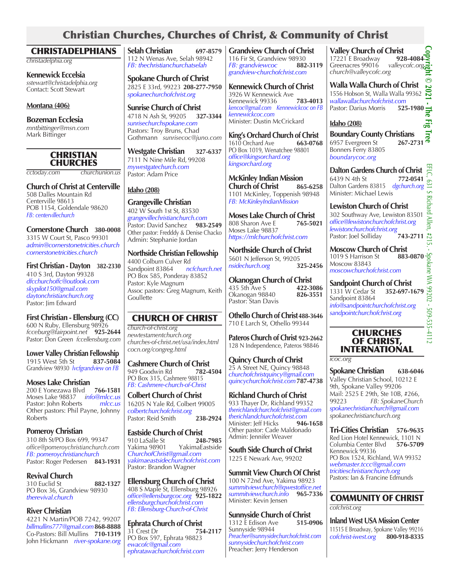## Christian Churches, Churches of Christ, & Community of Christ

| <b>CHRISTADELPHIANS</b>                                                                               | <b>Selah Christian</b><br>697-8579                                                                    | <b>Grandview Church of Christ</b>                                                                                 | <b>Valley Church of Christ</b>                                                                         |
|-------------------------------------------------------------------------------------------------------|-------------------------------------------------------------------------------------------------------|-------------------------------------------------------------------------------------------------------------------|--------------------------------------------------------------------------------------------------------|
| christadelphia.org                                                                                    | 112 N Wenas Ave, Selah 98942<br>FB: thechristianchurchatselah                                         | 116 Fir St, Grandview 98930<br>FB: grandviewcoc<br>882-3119                                                       | 17221 E Broadway<br>92<br>Greenacres 99016<br>valley<br>church@valleycofc.org                          |
| <b>Kennewick Eccelsia</b><br>sstewart@christadelphia.org<br>Contact: Scott Stewart                    | <b>Spokane Church of Christ</b><br>2825 E 33rd, 99223 208-277-7950<br>spokanechurchofchrist.org       | grandview-churchofchrist.com<br><b>Kennewick Church of Christ</b><br>3926 W Kennewick Ave                         | <b>Walla Walla Church of C</b><br>1556 Hobson St, Walla Walla                                          |
| Montana (406)                                                                                         | <b>Sunrise Church of Christ</b>                                                                       | 783-4013<br>Kennewick 99336<br>kencoc@gmail.com Kennewickcoc on FB<br>kennewickcoc.com                            | wallawallachurchofchrist.con<br>Pastor: Darius Morris<br>52                                            |
| <b>Bozeman Ecclesia</b><br>mntbittinger@msn.com                                                       | 4718 N Ash St, 99205<br>327-3344<br>sunrisechurchspokane.com                                          | Minister: Dustin McCrickard                                                                                       | <b>Idaho</b> (208)                                                                                     |
| Mark Bittinger                                                                                        | Pastors: Troy Bruns, Chad<br>Gothmann sunrisecoc@juno.com<br><b>Westgate Christian</b><br>327-6337    | King's Orchard Church of Christ<br>1610 Orchard Ave<br>663-0768<br>PO Box 1019, Wenatchee 98801                   | <b>Boundary County Christi</b><br>6957 Evergreen St<br>26<br>Bonners Ferry 83805                       |
| <b>CHRISTIAN</b><br><b>CHURCHES</b>                                                                   | 7111 N Nine Mile Rd, 99208<br>mywestgatechurch.com                                                    | office@kingsorchard.org<br>kingsorchard.org                                                                       | boundarycoc.org                                                                                        |
| churchunion.us<br>cctoday.com                                                                         | Pastor: Adam Price                                                                                    | <b>McKinley Indian Mission</b>                                                                                    | <b>Dalton Gardens Church of</b><br>6439 N 4th St<br>77                                                 |
| <b>Church of Christ at Centerville</b><br>508 Dalles Mountain Rd                                      | Idaho $(208)$                                                                                         | <b>Church of Christ</b><br>865-6258<br>1101 McKinley, Toppenish 98948                                             | Dalton Gardens 83815 dgch<br>Minister: Michael Lewis                                                   |
| Centerville 98613<br>POB 1154, Goldendale 98620<br>FB: centervillechurch                              | <b>Grangeville Christian</b><br>402 W South 1st St, 83530<br>grangevillechristianchurch.com           | FB: McKinleyIndianMission<br><b>Moses Lake Church of Christ</b>                                                   | <b>Lewiston Church of Chri</b><br>302 Southway Ave, Lewistor<br>office@lewistonchurchofchris           |
| Cornerstone Church 380-0008<br>3315 W Court St, Pasco 99301                                           | Pastor: David Sanchez<br>983-2549<br>Other pastor: Fredddy & Denise Chacko<br>Admin: Stephanie Jordan | 808 Sharon Ave E<br>765-5021<br>Moses Lake 98837<br>https://mlchurchofchrist.com                                  | lewistonchurchofchrist.org<br>Pastor: Joel Solliday<br>74                                              |
| admin@cornerstonetricities.church<br>cornerstonetricities.church                                      | <b>Northside Christian Fellowship</b><br>4400 Colburn Culver Rd                                       | <b>Northside Church of Christ</b><br>5601 N Jefferson St, 99205                                                   | <b>Moscow Church of Chris</b><br>1019 S Harrison St<br>88<br>Moscow 83843                              |
| <b>First Christian - Dayton</b><br>382-2330<br>410 S 3rd, Dayton 99328                                | ncfchurch.net<br>Sandpoint 83864<br>PO Box 585, Ponderay 83852                                        | nsidechurch.org<br>325-2456                                                                                       | moscowchurchofchrist.com                                                                               |
| dfcchurchoffc@outlook.com<br>skypilot150@gmail.com<br>daytonchristianchurch.org<br>Pastor: Jim Edward | Pastor: Kyle Magnum<br>Assoc pastors: Greg Magnum, Keith<br>Goullette                                 | <b>Okanogan Church of Christ</b><br>435 5th Ave S<br>422-3086<br>826-3551<br>Okanogan 98840<br>Pastor: Stan Davis | Sandpoint Church of Chi<br>1331 W Cedar St<br>352-69<br>Sandpoint 83864<br>info@sandpointchurchofchris |
| First Christian - Ellensburg (CC)<br>600 N Ruby, Ellensburg 98926                                     | <b>CHURCH OF CHRIST</b>                                                                               | Othello Church of Christ 488-3646<br>710 E Larch St, Othello 99344                                                | sandpointchurchofchrist.org                                                                            |
| fcceburg@fairpoint.net 925-2644<br>Pastor: Don Green fccellensburg.com                                | church-of-christ.org<br>newtestamentchurch.org<br>churches-of-christ.net/usa/index.html               | Pateros Church of Christ 923-2662<br>128 N Independence, Pateros 98846                                            | <b>CHURCHES</b><br><b>OF CHRIST,</b>                                                                   |
| Lough Valley Christian Fellowskin                                                                     | cocn.org/congreg.html                                                                                 |                                                                                                                   | <b>INTERNATION</b>                                                                                     |

**Lower Valley Christian Fellowship** 1915 West 5th St **837-5084** Grandview 98930 *lvcfgrandview on FB*

#### **Moses Lake Christian**

200 E Yonezawa Blvd **766-1581** Moses Lake 98837 *info@mlcc.us*  Pastor: John Roberts *mlcc.us* Other pastors: Phil Payne, Johnny Roberts

**Pomeroy Christian**  310 8th St/PO Box 699, 99347 *office@pomeroychristianchurch.com FB: pomeroychristianchurch* Pastor: Roger Pedersen **843-1931**

**Revival Church** 310 Euclid St **882-1327** PO Box 36, Grandview 98930 *therevival.church*

#### **River Christian**

4221 N Martin/POB 7242, 99207 *billmullins777@gmail.com***868-8888** Co-Pastors: Bill Mullins **710-1319** John Hickmann *river-spokane.org*

**Cashmere Church of Christ** 949 Goodwin Rd **782-4504** PO Box 315, Cashmere 98815 *FB: Cashmere-church-of-Christ*

**Colbert Church of Christ** 16205 N Yale Rd*,* Colbert 99005 *colbertchurchofchrist.org* Pastor: Reid Smith **238-2924**

**Eastside Church of Christ**<br>910 LaSalle St<br>248-7985 910 LaSalle St **248-7985**  YakimaEastside *ChurchofChrist@gmail.com yakimaeastsidechurchofchrist.com* Pastor: Brandon Wagner

**Ellensburg Church of Christ** 408 S Maple St, Ellensburg 98926 *office@ellensburgcoc.org*  **925-1822** *ellensburgchurchofchrist.com FB: Ellensburg-Church-of-Christ*

**Ephrata Church of Christ**<br>31 Crest Dr 754-2117 31 Crest Dr PO Box 597, Ephrata 98823 *ewacofc@gmail.com ephratawachurchofchrist.com*

**Quincy Church of Christ** 25 A Street NE, Quincy 98848 *churchofchristquincy@gmail.com quincychurchofchrist.com* **787-4738**

**Richland Church of Christ** 933 Thayer Dr, Richland 99352 *therichlandchurchofchrist@gmail.com therichlandchurchofchrist.com* Minister: Jeff Hicks **946-1658** Other pastor: Cade Maldonado Admin: Jennifer Weaver

**South Side Church of Christ** 1225 E Newark Ave, 99202

**Summit View Church Of Christ** 100 N 72nd Ave, Yakima 98923 *summitviewchurch@qwestoffice.net summitviewchurch.info* **965-7336** Minister: Kevin Jensen

**Sunnyside Church of Christ**<br>1312 E Edison Ave **515-0906** 1312 E Edison Ave **515-0906** Sunnyside 98944 *Preacher@sunnysidechurchofchrist.com sunnysidechurchofchrist.com* Preacher: Jerry Henderson

17221 E Broadway **928-4084** cofc.org<sup>/</sup>

C**hrist** a 99362 *wallawallachurchofchrist.com* Pastor: Darius Morris **525-1980 Copyright © 2021 - The Fig Tree** 

**Boundary County Christians** 6957 Evergreen St **267-2731**

EFLC, EFLC, 631 S Richard Allen, #215. - Spokane WA 99202 - 509-535-4112**f Christ** 6439 N 4th St **772-0541** Dalton Gardens 83815 *dgchurch.org*

 $\frac{25}{3}$  ist<br>m 83501 **Lewiston Church of Christ** *office@lewistonchurchofchrist.org* len Pastor: Joel Solliday **743-2711**

ŗ, **Moscow Church of Christ** Spokane WA 99202 -1019 S Harrison St **883-0870**

rist 1331 W Cedar St **352-697-1679** *info@sandpointchurchofchrist.org* 

 $509 - 51$ 

## **CHURCHES** OF CHRIST, AL

*icoc.org*

**Spokane Christian 638-6046** Valley Christian School, 10212 E 9th, Spokane Valley 99206 Mail: 2525 E 29th, Ste 10B, #266,<br>99223 FB: SpokaneChurc 99223 *FB: SpokaneChurch spokanechristianchurch@gmail.com spokanechristianchurch.org*

**Tri-Cities Christian 576-9635** Red Lion Hotel Kennewick, 1101 N<br>Columbia Center Blvd 57**6-5709** Columbia Center Blvd **576-5709** Kennewick 99336 PO Box 1524, Richland, WA 99352 *webmaster.tccc@gmail.com tricitieschristianchurch.org* Pastors: Ian & Francine Edmunds

### COMMUNITY OF CHRIST *cofchrist.org*

**Inland West USA Mission Center** 11515 E Broadway, Spokane Valley 99216 *cofchrist-iwest.org* **800-918-8335**